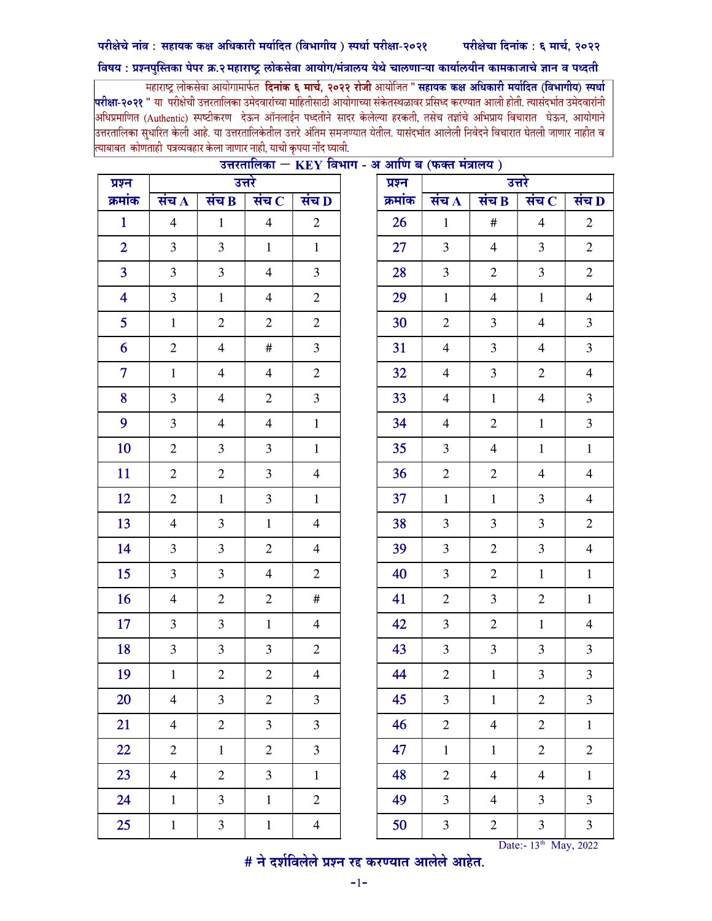## परीक्षेचे नांव : सहायक कक्ष अधिकारी मर्यादित (विभागीय) स्पर्धा परीक्षा-२०२१ परीक्षेचा दिनांक : ६ मार्च, २०२२

## विषय : प्रश्नपुस्तिका पेपर क्र.२ महाराष्ट्र लोकसेवा आयोग/मंत्रालय येथे चालणाऱ्या कार्यालयीन कामकाजाचे ज्ञान व पध्दती

.<br>महाराष्ट्र लोकसेवा आयोगामार्फत **दिनांक ६ मार्च, २०२२ रोजी** आयोजित " **सहायक कक्ष अधिकारी मर्यादित (विभागीय) स्पर्धा** <mark>परीक्षा-२०२१</mark> " या परीक्षेची उत्तरतालिका उमेदवारांच्या माहितीसाठी आयोगाच्या संकेतस्थळावर प्रसिध्द करण्यात आली होती. त्यासंदर्भात उमेदवारांनी |<br>|अधिप्रमाणित (Authentic) स्पष्टीकरण देऊन ऑनलाईन पध्दतीने सादर केलेल्या हरकती, तसेच तज्ञांचे अभिप्राय विचारात घेऊन, आयोगाने .<br>उत्तरतालिका सुधारित केली आहे. या उत्तरतालिकेतील उत्तरे अंतिम समजण्यात येतील. यासंदर्भात आलेली निवेदने विचारात घेतली जाणार नाहीत व .<br>त्याबाबत कोणताही पत्रव्यवहार केला जाणार नाही, याची कृपया नोंद घ्यावी.

| प्रश्न          | उत्तरे             |                         |                             |                    |
|-----------------|--------------------|-------------------------|-----------------------------|--------------------|
| क्रमांक         | संच $\overline{A}$ | संच $\overline{B}$      | संच $\overline{\mathbf{C}}$ | संच $\overline{D}$ |
| $\mathbf{1}$    | $\overline{4}$     | $1\,$                   | $\overline{4}$              | $\sqrt{2}$         |
| $\overline{2}$  | $\overline{3}$     | 3                       | $\mathbf{1}$                | $\mathbf{1}$       |
| $\overline{3}$  | 3                  | 3                       | $\overline{4}$              | $\mathfrak{Z}$     |
| $\overline{4}$  | $\overline{3}$     | $\mathbf{1}$            | $\overline{4}$              | $\mathbf{2}$       |
| $5\overline{)}$ | $\mathbf{1}$       | $\mathbf{2}$            | $\overline{2}$              | $\overline{2}$     |
| 6               | $\overline{2}$     | $\overline{4}$          | $\#$                        | $\mathfrak{Z}$     |
| $\overline{7}$  | $\mathbf{1}$       | $\overline{\mathbf{4}}$ | $\overline{4}$              | $\sqrt{2}$         |
| 8               | 3                  | $\overline{4}$          | $\overline{2}$              | $\mathfrak{Z}$     |
| 9               | $\overline{3}$     | 4                       | $\overline{4}$              | $\mathbf{1}$       |
| 10              | $\overline{2}$     | 3                       | 3                           | $\mathbf{1}$       |
| 11              | $\overline{2}$     | $\sqrt{2}$              | $\overline{3}$              | $\overline{4}$     |
| 12              | $\sqrt{2}$         | $1\,$                   | 3                           | $\mathbf{1}$       |
| 13              | $\overline{4}$     | 3                       | $\mathbf{1}$                | $\overline{4}$     |
| 14              | 3                  | 3                       | $\overline{2}$              | $\overline{4}$     |
| 15              | 3                  | $\mathfrak{Z}$          | $\overline{4}$              | $\overline{2}$     |
| 16              | $\overline{4}$     | $\boldsymbol{2}$        | $\overline{2}$              | $\#$               |
| 17              | 3                  | 3                       | $\mathbf{1}$                | $\overline{4}$     |
| 18              | 3                  | 3                       | $\overline{3}$              | $\overline{2}$     |
| 19              | $\mathbf{1}$       | $\overline{c}$          | $\overline{2}$              | $\overline{4}$     |
| 20              | $\overline{4}$     | 3                       | $\mathbf{2}$                | $\mathfrak{Z}$     |
| 21              | $\overline{4}$     | $\mathbf{2}$            | $\overline{3}$              | 3                  |
| 22              | $\mathbf{2}$       | $\mathbf 1$             | $\mathfrak{2}$              | 3                  |
| 23              | $\overline{4}$     | $\overline{2}$          | $\overline{3}$              | $\mathbf{1}$       |
| 24              | $\mathbf{1}$       | 3                       | $\mathbf{1}$                | $\overline{2}$     |
| 25              | $\mathbf 1$        | $\mathfrak{Z}$          | $\,1$                       | $\overline{4}$     |

## <u> उत्तरतालिका – KEV विभाग - अ आणि ब (फक्त मंत्रालय)</u>

 $\frac{1}{2}$  Date:- 13th May, 2022<br>  $\frac{1}{2}$   $\frac{1}{2}$   $\frac{1}{2}$   $\frac{1}{2}$   $\frac{1}{2}$   $\frac{1}{2}$   $\frac{1}{2}$   $\frac{1}{2}$   $\frac{1}{2}$   $\frac{1}{2}$   $\frac{1}{2}$   $\frac{1}{2}$   $\frac{1}{2}$   $\frac{1}{2}$   $\frac{1}{2}$   $\frac{1}{2}$   $\frac{1}{2}$   $\frac{1}{2}$   $\frac{1}{2}$